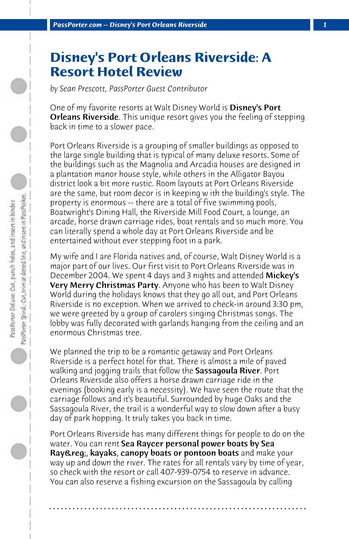## **Disney's Port Orleans Riverside: A Resort Hotel Review**

*by Sean Prescott, PassPorter Guest Contributor*

One of my favorite resorts at Walt Disney World is Disney's Port **Orleans Riverside**. This unique resort gives you the feeling of stepping back in time to a slower pace.

Port Orleans Riverside is a grouping of smaller buildings as opposed to the large single building that is typical of many deluxe resorts. Some of the buildings such as the Magnolia and Arcadia houses are designed in a plantation manor house style, while others in the Alligator Bayou district look a bit more rustic. Room layouts at Port Orleans Riverside are the same, but room decor is in keeping w ith the building's style. The property is enormous -- there are a total of five swimming pools, Boatwright's Dining Hall, the Riverside Mill Food Court, a lounge, an arcade, horse drawn carriage rides, boat rentals and so much more. You can literally spend a whole day at Port Orleans Riverside and be entertained without ever stepping foot in a park.

My wife and I are Florida natives and, of course, Walt Disney World is a major part of our lives. Our first visit to Port Orleans Riverside was in December 2004. We spent 4 days and 3 nights and attended **Mickey's** Very Merry Christmas Party. Anyone who has been to Walt Disney World during the holidays knows that they go all out, and Port Orleans Riverside is no exception. When we arrived to check-in around 3:30 pm, we were greeted by a group of carolers singing Christmas songs. The lobby was fully decorated with garlands hanging from the ceiling and an enormous Christmas tree.

We planned the trip to be a romantic getaway and Port Orleans Riverside is a perfect hotel for that. There is almost a mile of paved walking and jogging trails that follow the Sassagoula River. Port Orleans Riverside also offers a horse drawn carriage ride in the evenings (booking early is a necessity). We have seen the route that the carriage follows and it's beautiful. Surrounded by huge Oaks and the Sassagoula River, the trail is a wonderful way to slow down after a busy day of park hopping. It truly takes you back in time.

Port Orleans Riverside has many different things for people to do on the water. You can rent Sea Raycer personal power boats by Sea Ray&req;, kayaks, canopy boats or pontoon boats and make your way up and down the river. The rates for all rentals vary by time of year, so check with the resort or call 407-939-0754 to reserve in advance. You can also reserve a fishing excursion on the Sassagoula by calling

**. . . . . . . . . . . . . . . . . . . . . . . . . . . . . . . . . . . . . . . . . . . . . . . . . . . . . . . . . . . . . . . . . .**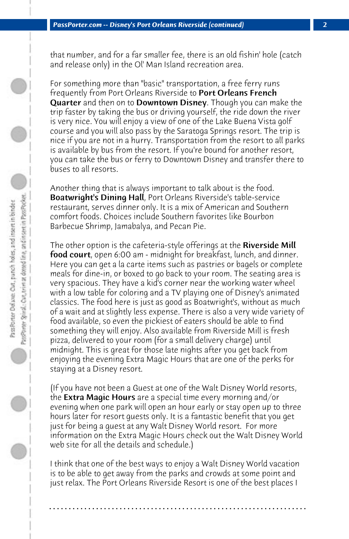that number, and for a far smaller fee, there is an old fishin' hole (catch and release only) in the Ol' Man Island recreation area.

For something more than "basic" transportation, a free ferry runs frequently from Port Orleans Riverside to Port Orleans French **Quarter** and then on to **Downtown Disney**. Though you can make the trip faster by taking the bus or driving yourself, the ride down the river is very nice. You will enjoy a view of one of the Lake Buena Vista golf course and you will also pass by the Saratoga Springs resort. The trip is nice if you are not in a hurry. Transportation from the resort to all parks is available by bus from the resort. If you're bound for another resort, you can take the bus or ferry to Downtown Disney and transfer there to buses to all resorts.

Another thing that is always important to talk about is the food. Boatwright's Dining Hall, Port Orleans Riverside's table-service restaurant, serves dinner only. It is a mix of American and Southern comfort foods. Choices include Southern favorites like Bourbon Barbecue Shrimp, Jamabalya, and Pecan Pie.

The other option is the cafeteria-style offerings at the **Riverside Mill** food court, open 6:00 am - midnight for breakfast, lunch, and dinner. Here you can get a la carte items such as pastries or bagels or complete meals for dine-in, or boxed to go back to your room. The seating area is very spacious. They have a kid's corner near the working water wheel with a low table for coloring and a TV playing one of Disney's animated classics. The food here is just as good as Boatwright's, without as much of a wait and at slightly less expense. There is also a very wide variety of food available, so even the pickiest of eaters should be able to find something they will enjoy. Also available from Riverside Mill is fresh pizza, delivered to your room (for a small delivery charge) until midnight. This is great for those late nights after you get back from enjoying the evening Extra Magic Hours that are one of the perks for staying at a Disney resort.

(If you have not been a Guest at one of the Walt Disney World resorts, the **Extra Magic Hours** are a special time every morning and/or evening when one park will open an hour early or stay open up to three hours later for resort guests only. It is a fantastic benefit that you get just for being a guest at any Walt Disney World resort. For more information on the Extra Magic Hours check out the Walt Disney World web site for all the details and schedule.)

I think that one of the best ways to enjoy a Walt Disney World vacation is to be able to get away from the parks and crowds at some point and just relax. The Port Orleans Riverside Resort is one of the best places I

**. . . . . . . . . . . . . . . . . . . . . . . . . . . . . . . . . . . . . . . . . . . . . . . . . . . . . . . . . . . . . . . . . .**